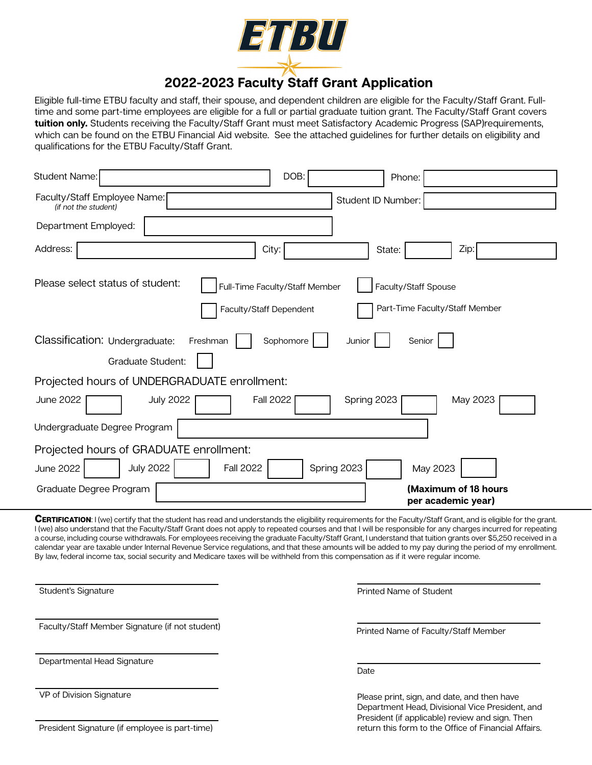

# **2022-2023 Faculty Staff Grant Application**

Eligible full-time ETBU faculty and staff, their spouse, and dependent children are eligible for the Faculty/Staff Grant. Fulltime and some part-time employees are eligible for a full or partial graduate tuition grant. The Faculty/Staff Grant covers **tuition only.** Students receiving the Faculty/Staff Grant must meet Satisfactory Academic Progress (SAP)requirements, which can be found on the ETBU Financial Aid website. See the attached guidelines for further details on eligibility and qualifications for the ETBU Faculty/Staff Grant.

| <b>Student Name:</b>                                                                                    | DOB:<br>Phone:                                                                           |
|---------------------------------------------------------------------------------------------------------|------------------------------------------------------------------------------------------|
| Faculty/Staff Employee Name:<br>(if not the student)                                                    | Student ID Number:                                                                       |
| Department Employed:                                                                                    |                                                                                          |
| Address:<br>City:                                                                                       | Zip:<br>State:                                                                           |
| Please select status of student:<br>Faculty/Staff Dependent                                             | Full-Time Faculty/Staff Member<br>Faculty/Staff Spouse<br>Part-Time Faculty/Staff Member |
| Classification: Undergraduate:<br>Sophomore<br>Freshman<br>Junior<br>Senior<br><b>Graduate Student:</b> |                                                                                          |
| Projected hours of UNDERGRADUATE enrollment:                                                            |                                                                                          |
| <b>June 2022</b><br><b>July 2022</b><br><b>Fall 2022</b>                                                | May 2023<br>Spring 2023                                                                  |
| Undergraduate Degree Program                                                                            |                                                                                          |
| Projected hours of GRADUATE enrollment:                                                                 |                                                                                          |
| <b>July 2022</b><br><b>June 2022</b><br><b>Fall 2022</b>                                                | Spring 2023<br>May 2023                                                                  |
| Graduate Degree Program                                                                                 | (Maximum of 18 hours<br>per academic year)                                               |

**CERTIFICATION:** I (we) certify that the student has read and understands the eligibility requirements for the Faculty/Staff Grant, and is eligible for the grant. I (we) also understand that the Faculty/Staff Grant does not apply to repeated courses and that I will be responsible for any charges incurred for repeating a course, including course withdrawals. For employees receiving the graduate Faculty/Staff Grant, I understand that tuition grants over \$5,250 received in a calendar year are taxable under Internal Revenue Service regulations, and that these amounts will be added to my pay during the period of my enrollment. By law, federal income tax, social security and Medicare taxes will be withheld from this compensation as if it were regular income.

Student's Signature

Faculty/Staff Member Signature (if not student)

Departmental Head Signature

VP of Division Signature

Printed Name of Student

Printed Name of Faculty/Staff Member

Date

Please print, sign, and date, and then have Department Head, Divisional Vice President, and President (if applicable) review and sign. Then return this form to the Office of Financial Affairs.

President Signature (if employee is part-time)